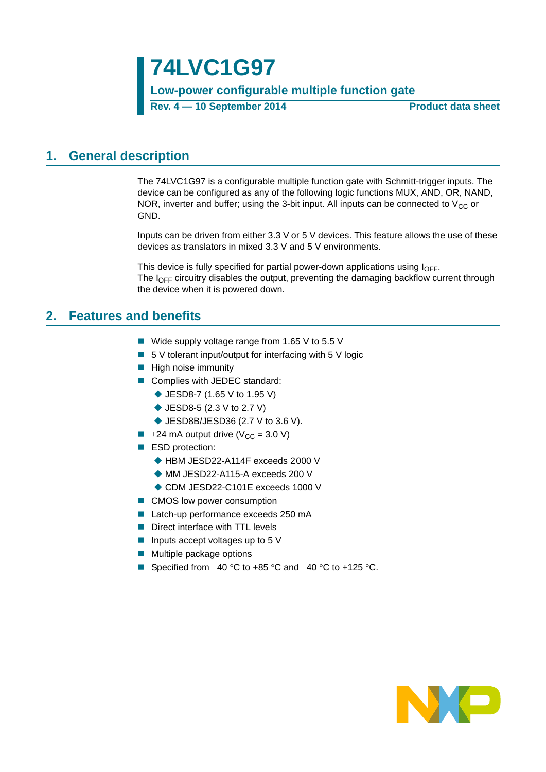### **Low-power configurable multiple function gate**

**Rev. 4 — 10 September 2014 Product data sheet**

### <span id="page-0-0"></span>**1. General description**

The 74LVC1G97 is a configurable multiple function gate with Schmitt-trigger inputs. The device can be configured as any of the following logic functions MUX, AND, OR, NAND, NOR, inverter and buffer; using the 3-bit input. All inputs can be connected to  $V_{CC}$  or GND.

Inputs can be driven from either 3.3 V or 5 V devices. This feature allows the use of these devices as translators in mixed 3.3 V and 5 V environments.

This device is fully specified for partial power-down applications using  $I_{\text{OFF}}$ . The  $I<sub>OFF</sub>$  circuitry disables the output, preventing the damaging backflow current through the device when it is powered down.

### <span id="page-0-1"></span>**2. Features and benefits**

- Wide supply voltage range from 1.65 V to 5.5 V
- $\blacksquare$  5 V tolerant input/output for interfacing with 5 V logic
- $\blacksquare$  High noise immunity
- Complies with JEDEC standard:
	- ◆ JESD8-7 (1.65 V to 1.95 V)
	- ◆ JESD8-5 (2.3 V to 2.7 V)
	- ◆ JESD8B/JESD36 (2.7 V to 3.6 V).
- $\blacksquare$   $\pm$ 24 mA output drive (V<sub>CC</sub> = 3.0 V)
- ESD protection:
	- ◆ HBM JESD22-A114F exceeds 2000 V
	- ◆ MM JESD22-A115-A exceeds 200 V
	- ◆ CDM JESD22-C101E exceeds 1000 V
- CMOS low power consumption
- Latch-up performance exceeds 250 mA
- Direct interface with TTL levels
- Inputs accept voltages up to 5  $V$
- **Multiple package options**
- Specified from  $-40$  °C to  $+85$  °C and  $-40$  °C to  $+125$  °C.

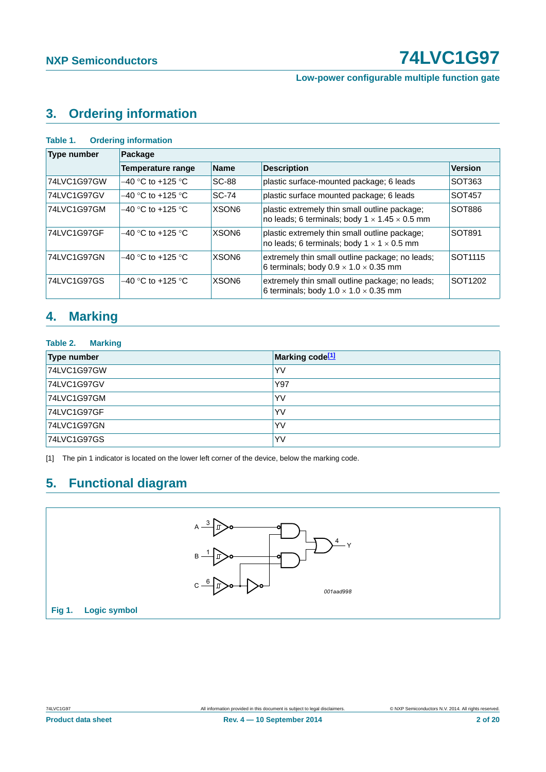**Low-power configurable multiple function gate**

## <span id="page-1-1"></span>**3. Ordering information**

| <b>Type number</b> | Package                  |                   |                                                                                                            |                     |  |  |  |
|--------------------|--------------------------|-------------------|------------------------------------------------------------------------------------------------------------|---------------------|--|--|--|
|                    | <b>Temperature range</b> | <b>Name</b>       | <b>Description</b>                                                                                         | <b>Version</b>      |  |  |  |
| 74LVC1G97GW        | $-40$ °C to +125 °C      | <b>SC-88</b>      | plastic surface-mounted package; 6 leads                                                                   | SOT363              |  |  |  |
| 74LVC1G97GV        | $-40$ °C to +125 °C      | $SC-74$           | plastic surface mounted package; 6 leads                                                                   | SOT457              |  |  |  |
| 74LVC1G97GM        | $-40$ °C to +125 °C      | XSON <sub>6</sub> | plastic extremely thin small outline package;<br>no leads; 6 terminals; body $1 \times 1.45 \times 0.5$ mm | SOT886              |  |  |  |
| 74LVC1G97GF        | $-40$ °C to +125 °C      | <b>XSON6</b>      | plastic extremely thin small outline package;<br>no leads; 6 terminals; body $1 \times 1 \times 0.5$ mm    | SOT891              |  |  |  |
| 74LVC1G97GN        | $-40$ °C to +125 °C      | XSON <sub>6</sub> | extremely thin small outline package; no leads;<br>6 terminals; body $0.9 \times 1.0 \times 0.35$ mm       | SOT <sub>1115</sub> |  |  |  |
| 74LVC1G97GS        | $-40$ °C to +125 °C      | XSON <sub>6</sub> | extremely thin small outline package; no leads;<br>6 terminals; body $1.0 \times 1.0 \times 0.35$ mm       | SOT <sub>1202</sub> |  |  |  |

### <span id="page-1-2"></span>**4. Marking**

#### **Table 2. Marking**

| Type number | Marking code <sup>[1]</sup> |
|-------------|-----------------------------|
| 74LVC1G97GW | YV                          |
| 74LVC1G97GV | Y97                         |
| 74LVC1G97GM | YV                          |
| 74LVC1G97GF | YV                          |
| 74LVC1G97GN | YV                          |
| 74LVC1G97GS | YV                          |

<span id="page-1-0"></span>[1] The pin 1 indicator is located on the lower left corner of the device, below the marking code.

## <span id="page-1-3"></span>**5. Functional diagram**

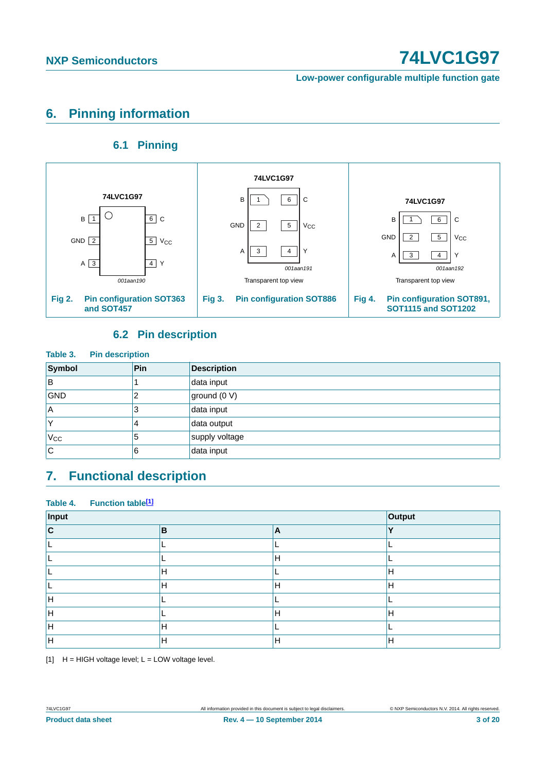**Low-power configurable multiple function gate**

## <span id="page-2-1"></span>**6. Pinning information**

### **6.1 Pinning**

<span id="page-2-2"></span>

### **6.2 Pin description**

<span id="page-2-3"></span>

| Table 3.<br><b>Pin description</b> |     |                    |  |  |  |  |
|------------------------------------|-----|--------------------|--|--|--|--|
| Symbol                             | Pin | <b>Description</b> |  |  |  |  |
| ΙB                                 |     | data input         |  |  |  |  |
| <b>GND</b>                         | 2   | ground (0 V)       |  |  |  |  |
| ΙA                                 | 3   | data input         |  |  |  |  |
|                                    | 4   | data output        |  |  |  |  |
| $V_{\rm CC}$                       | 5   | supply voltage     |  |  |  |  |
| lC.                                | 6   | data input         |  |  |  |  |

### <span id="page-2-4"></span>**7. Functional description**

#### Table 4. Function table<sup>[1]</sup>

| Input | Output |    |              |
|-------|--------|----|--------------|
| C     | B      | ۱A | $\mathbf{v}$ |
|       |        |    |              |
|       |        | Н  |              |
|       | H      |    | н            |
|       | H      | H  | Н            |
|       |        |    |              |
|       |        | н  | н            |
|       | Н      |    |              |
|       | Н      | Н  | н            |

<span id="page-2-0"></span> $[1]$  H = HIGH voltage level; L = LOW voltage level.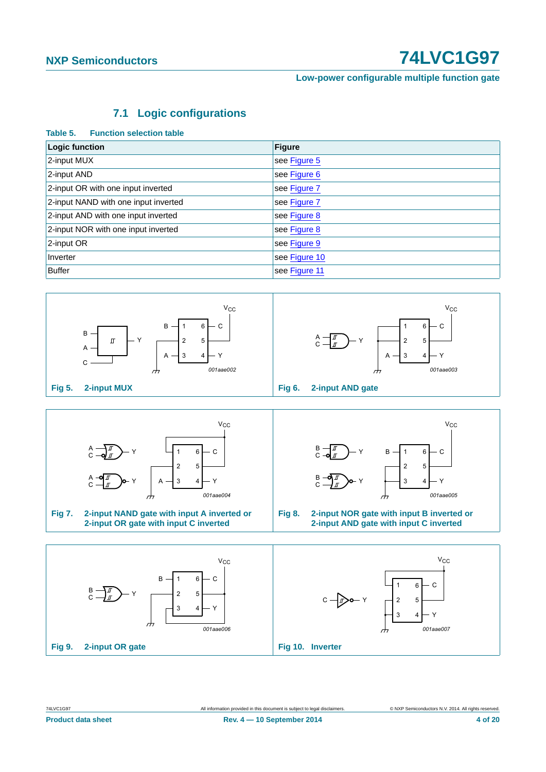**Low-power configurable multiple function gate**

### **7.1 Logic configurations**

#### <span id="page-3-6"></span>**Table 5. Function selection table**

| Logic function                       | <b>Figure</b> |
|--------------------------------------|---------------|
| 2-input MUX                          | see Figure 5  |
| 2-input AND                          | see Figure 6  |
| 2-input OR with one input inverted   | see Figure 7  |
| 2-input NAND with one input inverted | see Figure 7  |
| 2-input AND with one input inverted  | see Figure 8  |
| 2-input NOR with one input inverted  | see Figure 8  |
| 2-input OR                           | see Figure 9  |
| Inverter                             | see Figure 10 |
| <b>Buffer</b>                        | see Figure 11 |



<span id="page-3-1"></span><span id="page-3-0"></span>

<span id="page-3-5"></span><span id="page-3-4"></span><span id="page-3-3"></span><span id="page-3-2"></span>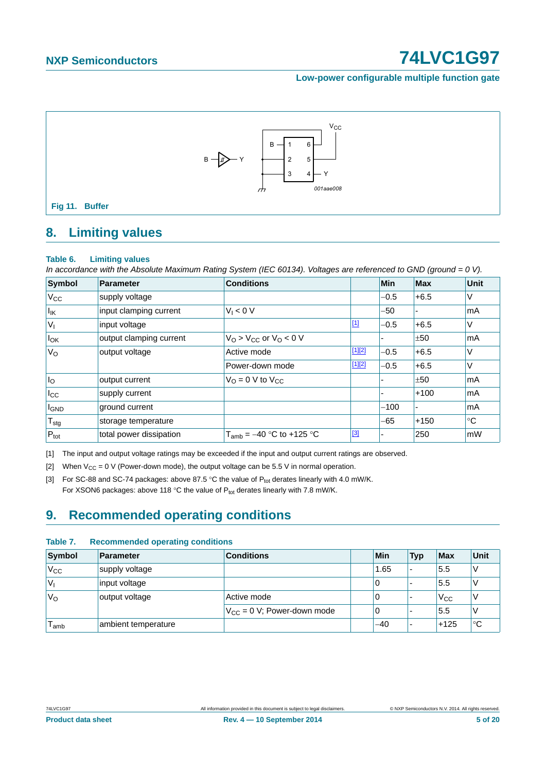#### **Low-power configurable multiple function gate**



### <span id="page-4-4"></span><span id="page-4-0"></span>**8. Limiting values**

#### **Table 6. Limiting values**

*In accordance with the Absolute Maximum Rating System (IEC 60134). Voltages are referenced to GND (ground = 0 V).*

| Symbol            | Parameter               | <b>Conditions</b>                  |          | <b>Min</b>               | <b>Max</b> | Unit        |
|-------------------|-------------------------|------------------------------------|----------|--------------------------|------------|-------------|
| $V_{\rm CC}$      | supply voltage          |                                    |          | $-0.5$                   | $+6.5$     | V           |
| $I_{\mathsf{IK}}$ | input clamping current  | $V_1 < 0$ V                        |          | $-50$                    |            | mA          |
| $ V_1$            | input voltage           |                                    | $[1]$    | $-0.5$                   | $+6.5$     | V           |
| $I_{OK}$          | output clamping current | $VO > VCC$ or $VO < 0$ V           |          | $\overline{\phantom{0}}$ | ±50        | mA          |
| $V_{\rm O}$       | output voltage          | Active mode                        | $[1][2]$ | $-0.5$                   | $+6.5$     | $\vee$      |
|                   |                         | Power-down mode                    | [1][2]   | $-0.5$                   | $+6.5$     | $\vee$      |
| I <sub>o</sub>    | output current          | $V_{\Omega} = 0$ V to $V_{\Omega}$ |          |                          | ±50        | mA          |
| $_{\rm lcc}$      | supply current          |                                    |          |                          | $+100$     | mA          |
| <b>I</b> GND      | ground current          |                                    |          | $-100$                   |            | mA          |
| $T_{\text{stg}}$  | storage temperature     |                                    |          | -65                      | $+150$     | $^{\circ}C$ |
| $P_{\text{tot}}$  | total power dissipation | $T_{amb} = -40 °C$ to +125 °C      | [3]      | ۰                        | 250        | mW          |

<span id="page-4-1"></span>[1] The input and output voltage ratings may be exceeded if the input and output current ratings are observed.

<span id="page-4-2"></span>[2] When  $V_{CC} = 0$  V (Power-down mode), the output voltage can be 5.5 V in normal operation.

<span id="page-4-3"></span>[3] For SC-88 and SC-74 packages: above 87.5 °C the value of  $P_{tot}$  derates linearly with 4.0 mW/K. For XSON6 packages: above 118 °C the value of  $P_{tot}$  derates linearly with 7.8 mW/K.

# <span id="page-4-5"></span>**9. Recommended operating conditions**

#### **Table 7. Recommended operating conditions**

| Symbol           | Parameter           | <b>Conditions</b>               | Min  | <b>Typ</b>               | <b>Max</b> | Unit |
|------------------|---------------------|---------------------------------|------|--------------------------|------------|------|
| 'V <sub>CC</sub> | supply voltage      |                                 | 1.65 | $\overline{\phantom{0}}$ | 5.5        |      |
| V <sub>1</sub>   | input voltage       |                                 | 0    |                          | 5.5        |      |
| 'V <sub>o</sub>  | output voltage      | Active mode                     | 0    |                          | $V_{CC}$   |      |
|                  |                     | $V_{CC} = 0$ V; Power-down mode | 0    |                          | 5.5        |      |
| l <sub>amb</sub> | ambient temperature |                                 | -40  | -                        | $+125$     | °C   |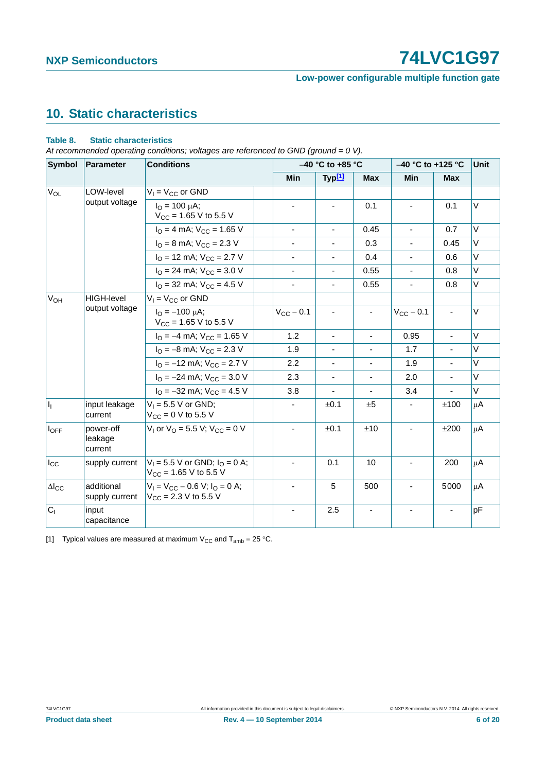### **Low-power configurable multiple function gate**

# <span id="page-5-1"></span>**10. Static characteristics**

#### **Table 8. Static characteristics**

*At recommended operating conditions; voltages are referenced to GND (ground = 0 V).*

| <b>Symbol</b>          | Parameter                       | <b>Conditions</b>                                                   |                          | $-40$ °C to $+85$ °C     |                          |                          | $-40$ °C to +125 °C<br><b>Unit</b> |         |  |  |
|------------------------|---------------------------------|---------------------------------------------------------------------|--------------------------|--------------------------|--------------------------|--------------------------|------------------------------------|---------|--|--|
|                        |                                 |                                                                     | <b>Min</b>               | Typ <sup>[1]</sup>       | <b>Max</b>               | Min                      | <b>Max</b>                         |         |  |  |
| <b>V<sub>OL</sub></b>  | LOW-level                       | $V_1 = V_{CC}$ or GND                                               |                          |                          |                          |                          |                                    |         |  |  |
|                        | output voltage                  | $I_{\Omega} = 100 \mu A$ ;<br>$V_{CC}$ = 1.65 V to 5.5 V            |                          | $\blacksquare$           | 0.1                      | $\blacksquare$           | 0.1                                | V       |  |  |
|                        |                                 | $IO = 4 mA$ ; $VCC = 1.65 V$                                        | $\overline{\phantom{a}}$ | $\overline{\phantom{a}}$ | 0.45                     | $\blacksquare$           | 0.7                                | V       |  |  |
|                        |                                 | $I_{\rm O}$ = 8 mA; $V_{\rm CC}$ = 2.3 V                            |                          |                          | 0.3                      | $\blacksquare$           | 0.45                               | V       |  |  |
|                        |                                 | $I_{\text{O}}$ = 12 mA; $V_{\text{CC}}$ = 2.7 V                     | $\overline{\phantom{a}}$ |                          | 0.4                      | $\blacksquare$           | 0.6                                | V       |  |  |
|                        |                                 | $I_{\text{O}}$ = 24 mA; $V_{\text{CC}}$ = 3.0 V                     |                          |                          | 0.55                     | $\blacksquare$           | 0.8                                | $\vee$  |  |  |
|                        |                                 | $I_{\Omega}$ = 32 mA; $V_{\text{CC}}$ = 4.5 V                       | $\overline{\phantom{a}}$ | $\blacksquare$           | 0.55                     | $\overline{\phantom{a}}$ | 0.8                                | V       |  |  |
| $V_{OH}$               | <b>HIGH-level</b>               | $V_1 = V_{CC}$ or GND                                               |                          |                          |                          |                          |                                    |         |  |  |
|                        | output voltage                  | $I_{\Omega} = -100 \mu A$ ;<br>$V_{CC}$ = 1.65 V to 5.5 V           | $V_{CC}$ – 0.1           |                          | $\blacksquare$           | $V_{CC}$ – 0.1           |                                    | $\vee$  |  |  |
|                        |                                 | $I_{\text{O}} = -4 \text{ mA}$ ; $V_{\text{CC}} = 1.65 \text{ V}$   | 1.2                      | $\overline{\phantom{a}}$ | $\overline{\phantom{a}}$ | 0.95                     | $\overline{\phantom{a}}$           | V       |  |  |
|                        |                                 | $I_{\rm O} = -8$ mA; $V_{\rm CC} = 2.3$ V                           | 1.9                      |                          |                          | 1.7                      |                                    | V       |  |  |
|                        |                                 | $IO = -12$ mA; $VCC = 2.7$ V                                        | 2.2                      |                          |                          | 1.9                      |                                    | $\vee$  |  |  |
|                        |                                 | $I_{\rm O} = -24$ mA; $V_{\rm CC} = 3.0$ V                          | 2.3                      | $\blacksquare$           | $\blacksquare$           | 2.0                      | $\mathbf{r}$                       | V       |  |  |
|                        |                                 | $I_{\Omega} = -32$ mA; $V_{\text{CC}} = 4.5$ V                      | 3.8                      | ä,                       | $\blacksquare$           | 3.4                      |                                    | V       |  |  |
| $\mathsf{I}_1$         | input leakage<br>current        | $V_1 = 5.5 V$ or GND;<br>$V_{CC} = 0 V$ to 5.5 V                    |                          | ±0.1                     | ±5                       |                          | ±100                               | μA      |  |  |
| $I_{OFF}$              | power-off<br>leakage<br>current | $V_1$ or $V_0$ = 5.5 V; $V_{CC}$ = 0 V                              |                          | ±0.1                     | ±10                      |                          | ±200                               | μA      |  |  |
| $I_{\rm CC}$           | supply current                  | $V_1 = 5.5$ V or GND; $I_0 = 0$ A;<br>$V_{CC}$ = 1.65 V to 5.5 V    |                          | 0.1                      | 10                       |                          | 200                                | $\mu$ A |  |  |
| $\Delta$ <sub>cc</sub> | additional<br>supply current    | $V_1 = V_{CC} - 0.6 V$ ; $I_Q = 0 A$ ;<br>$V_{CC}$ = 2.3 V to 5.5 V |                          | 5                        | 500                      | $\blacksquare$           | 5000                               | μA      |  |  |
| $C_{1}$                | input<br>capacitance            |                                                                     |                          | 2.5                      |                          |                          |                                    | pF      |  |  |

<span id="page-5-0"></span>[1] Typical values are measured at maximum  $V_{CC}$  and  $T_{amb} = 25 \degree C$ .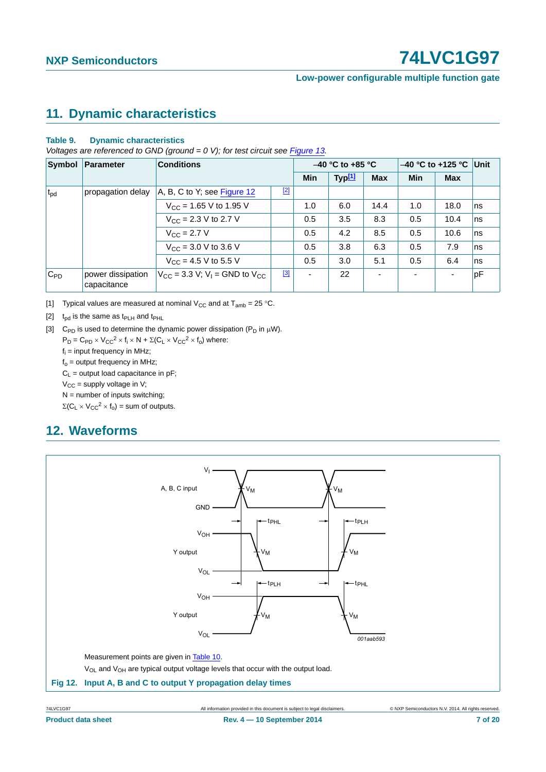#### **Low-power configurable multiple function gate**

### <span id="page-6-4"></span>**11. Dynamic characteristics**

#### **Table 9. Dynamic characteristics**

*Voltages are referenced to GND (ground = 0 V); for test circuit see [Figure 13](#page-7-0).*

| Symbol       | Parameter                        | <b>Conditions</b>                                                                |       |                | $-40$ °C to +85 °C |                          | $-40$ °C to +125 °C |            | Unit |  |
|--------------|----------------------------------|----------------------------------------------------------------------------------|-------|----------------|--------------------|--------------------------|---------------------|------------|------|--|
|              |                                  |                                                                                  |       | <b>Min</b>     | Typ[1]             | <b>Max</b>               | <b>Min</b>          | <b>Max</b> |      |  |
| $t_{\rm pd}$ | propagation delay                | A, B, C to Y; see Figure 12                                                      | $[2]$ |                |                    |                          |                     |            |      |  |
|              |                                  | $V_{CC}$ = 1.65 V to 1.95 V                                                      |       | 1.0            | 6.0                | 14.4                     | 1.0                 | 18.0       | ns   |  |
|              |                                  | $V_{CC}$ = 2.3 V to 2.7 V                                                        |       | 0.5            | 3.5                | 8.3                      | 0.5                 | 10.4       | ns   |  |
|              |                                  | $V_{C} = 2.7 V$                                                                  |       | 0.5            | 4.2                | 8.5                      | 0.5                 | 10.6       | ns   |  |
|              |                                  | $V_{\text{CC}} = 3.0 \text{ V}$ to 3.6 V                                         |       | 0.5            | 3.8                | 6.3                      | 0.5                 | 7.9        | ns   |  |
|              |                                  | $V_{CC}$ = 4.5 V to 5.5 V                                                        |       | 0.5            | 3.0                | 5.1                      | 0.5                 | 6.4        | ns   |  |
| $ C_{PD} $   | power dissipation<br>capacitance | $V_{\text{CC}} = 3.3 \text{ V}$ ; $V_{\text{I}} = \text{GND}$ to $V_{\text{CC}}$ | $[3]$ | $\blacksquare$ | 22                 | $\overline{\phantom{a}}$ | ۰                   |            | pF   |  |

<span id="page-6-0"></span>[1] Typical values are measured at nominal V<sub>CC</sub> and at  $T_{amb} = 25 \degree C$ .

<span id="page-6-2"></span>[2]  $t_{\rm od}$  is the same as  $t_{\rm PLH}$  and  $t_{\rm PHL}$ 

<span id="page-6-3"></span>[3] C<sub>PD</sub> is used to determine the dynamic power dissipation ( $P_D$  in  $\mu$ W).

 $P_D = C_{PD} \times V_{CC}^2 \times f_i \times N + \Sigma (C_L \times V_{CC}^2 \times f_o)$  where:

f<sub>i</sub> = input frequency in MHz;

 $f<sub>o</sub>$  = output frequency in MHz;

 $C_1$  = output load capacitance in pF;

 $V_{CC}$  = supply voltage in V;

 $N =$  number of inputs switching;

 $\Sigma(C_L \times V_{CC}^2 \times f_0) =$  sum of outputs.

### <span id="page-6-5"></span>**12. Waveforms**

<span id="page-6-1"></span>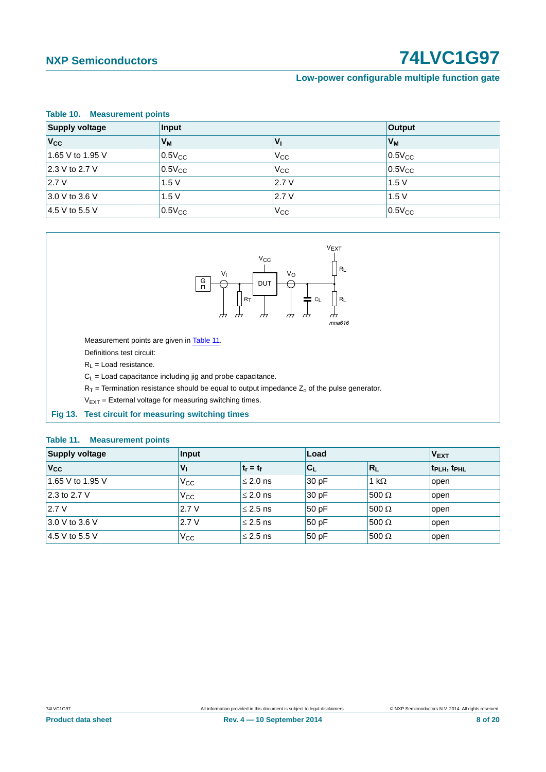#### **Low-power configurable multiple function gate**

<span id="page-7-1"></span>

| Table 10. Measurement points   |                |                 |               |  |  |  |
|--------------------------------|----------------|-----------------|---------------|--|--|--|
| <b>Supply voltage</b><br>Input |                |                 | <b>Output</b> |  |  |  |
| $V_{\rm CC}$                   | V <sub>M</sub> | $V_{\parallel}$ | $V_M$         |  |  |  |
| 1.65 V to 1.95 V               | $0.5V_{CC}$    | $V_{CC}$        | $0.5V_{CC}$   |  |  |  |
| 2.3 V to 2.7 V                 | $0.5V_{CC}$    | $V_{\rm CC}$    | $0.5V_{CC}$   |  |  |  |
| 2.7V                           | 1.5V           | 2.7V            | 1.5V          |  |  |  |
| 3.0 V to 3.6 V                 | 1.5V           | 2.7V            | 1.5V          |  |  |  |
| $4.5$ V to 5.5 V               | $0.5V_{CC}$    | V <sub>CC</sub> | $0.5V_{CC}$   |  |  |  |



Measurement points are given in [Table 11.](#page-7-2)

Definitions test circuit:

 $R_L$  = Load resistance.

 $C_L$  = Load capacitance including jig and probe capacitance.

 $R_T$  = Termination resistance should be equal to output impedance  $Z_0$  of the pulse generator.

 $V_{EXT}$  = External voltage for measuring switching times.

#### <span id="page-7-0"></span>**Fig 13. Test circuit for measuring switching times**

#### <span id="page-7-2"></span>**Table 11. Measurement points**

| <b>Supply voltage</b> | Input           |               | Load  | <b>VEXT</b>  |                                     |
|-----------------------|-----------------|---------------|-------|--------------|-------------------------------------|
| $V_{\rm CC}$          | $V_{\parallel}$ | $t_r = t_f$   | $C_L$ | $R_L$        | t <sub>PLH</sub> , t <sub>PHL</sub> |
| 1.65 V to 1.95 V      | $V_{\rm CC}$    | $\leq$ 2.0 ns | 30pF  | 1 k $\Omega$ | open                                |
| 2.3 to 2.7 V          | $V_{\rm CC}$    | $\leq$ 2.0 ns | 30pF  | $500 \Omega$ | open                                |
| 2.7V                  | 2.7V            | $\leq$ 2.5 ns | 50pF  | 500 $\Omega$ | open                                |
| 3.0 V to 3.6 V        | 2.7V            | $\leq$ 2.5 ns | 50pF  | 500 $\Omega$ | open                                |
| 4.5 V to 5.5 V        | Vcc             | $\leq$ 2.5 ns | 50pF  | $500 \Omega$ | open                                |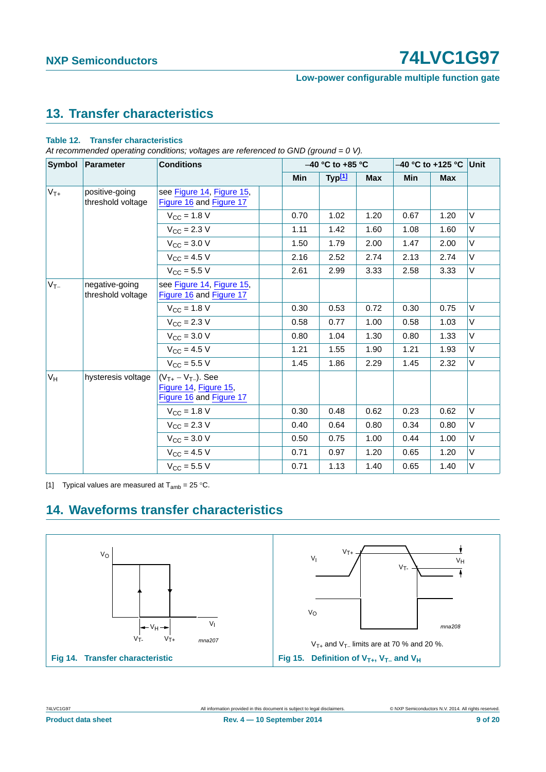#### **Low-power configurable multiple function gate**

## <span id="page-8-3"></span>**13. Transfer characteristics**

#### **Table 12. Transfer characteristics**

*At recommended operating conditions; voltages are referenced to GND (ground = 0 V).*

| Symbol   | <b>Parameter</b>                    | <b>Conditions</b>                                                             |  | $-40$ °C to +85 °C |                    |            | $-40$ °C to +125 °C Unit |      |   |
|----------|-------------------------------------|-------------------------------------------------------------------------------|--|--------------------|--------------------|------------|--------------------------|------|---|
|          |                                     |                                                                               |  | <b>Min</b>         | Typ <sup>[1]</sup> | <b>Max</b> | Min                      | Max  |   |
| $V_{T+}$ | positive-going<br>threshold voltage | see Figure 14, Figure 15,<br>Figure 16 and Figure 17                          |  |                    |                    |            |                          |      |   |
|          |                                     | $V_{CC}$ = 1.8 V                                                              |  | 0.70               | 1.02               | 1.20       | 0.67                     | 1.20 | V |
|          |                                     | $V_{\rm CC}$ = 2.3 V                                                          |  | 1.11               | 1.42               | 1.60       | 1.08                     | 1.60 | V |
|          |                                     | $V_{\rm CC} = 3.0 V$                                                          |  | 1.50               | 1.79               | 2.00       | 1.47                     | 2.00 | V |
|          |                                     | $V_{\text{CC}} = 4.5 V$                                                       |  | 2.16               | 2.52               | 2.74       | 2.13                     | 2.74 | V |
|          |                                     | $V_{\text{CC}} = 5.5 V$                                                       |  | 2.61               | 2.99               | 3.33       | 2.58                     | 3.33 | V |
| $V_{T-}$ | negative-going<br>threshold voltage | see Figure 14, Figure 15,<br>Figure 16 and Figure 17                          |  |                    |                    |            |                          |      |   |
|          |                                     | $V_{CC}$ = 1.8 V                                                              |  | 0.30               | 0.53               | 0.72       | 0.30                     | 0.75 | V |
|          |                                     | $V_{\rm CC} = 2.3 V$                                                          |  | 0.58               | 0.77               | 1.00       | 0.58                     | 1.03 | V |
|          |                                     | $V_{\text{CC}} = 3.0 \text{ V}$                                               |  | 0.80               | 1.04               | 1.30       | 0.80                     | 1.33 | V |
|          |                                     | $V_{CC}$ = 4.5 V                                                              |  | 1.21               | 1.55               | 1.90       | 1.21                     | 1.93 | V |
|          |                                     | $V_{CC}$ = 5.5 V                                                              |  | 1.45               | 1.86               | 2.29       | 1.45                     | 2.32 | V |
| $V_H$    | hysteresis voltage                  | $(V_{T+} - V_{T-})$ . See<br>Figure 14, Figure 15,<br>Figure 16 and Figure 17 |  |                    |                    |            |                          |      |   |
|          |                                     | $V_{CC}$ = 1.8 V                                                              |  | 0.30               | 0.48               | 0.62       | 0.23                     | 0.62 | V |
|          |                                     | $V_{\rm CC}$ = 2.3 V                                                          |  | 0.40               | 0.64               | 0.80       | 0.34                     | 0.80 | V |
|          |                                     | $V_{\rm CC} = 3.0 V$                                                          |  | 0.50               | 0.75               | 1.00       | 0.44                     | 1.00 | V |
|          |                                     | $V_{\rm CC} = 4.5 V$                                                          |  | 0.71               | 0.97               | 1.20       | 0.65                     | 1.20 | V |
|          |                                     | $V_{\text{CC}} = 5.5 V$                                                       |  | 0.71               | 1.13               | 1.40       | 0.65                     | 1.40 | V |

<span id="page-8-0"></span>[1] Typical values are measured at  $T_{amb} = 25 \degree C$ .

### <span id="page-8-4"></span><span id="page-8-2"></span>**14. Waveforms transfer characteristics**

<span id="page-8-1"></span>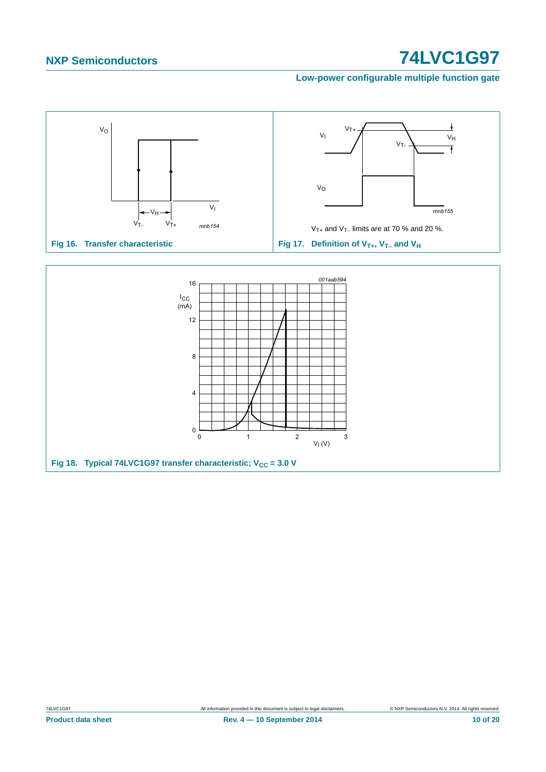<span id="page-9-1"></span>**Low-power configurable multiple function gate**



<span id="page-9-0"></span>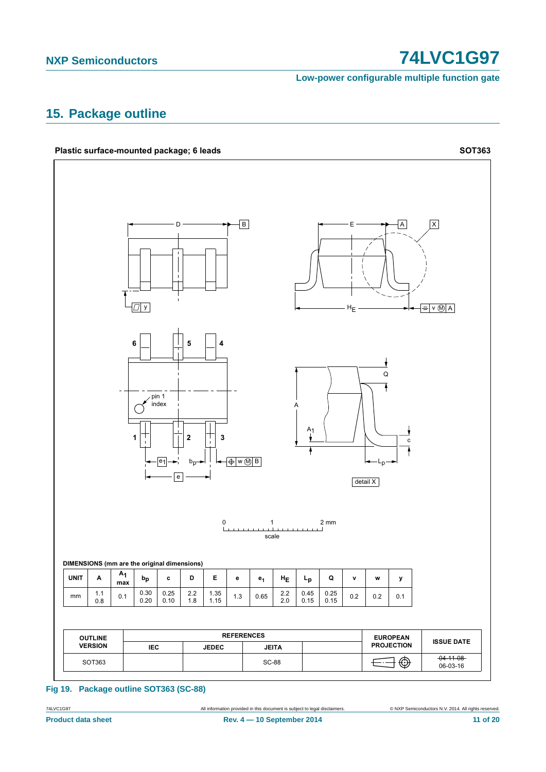Low-power configurable multiple function gate

### <span id="page-10-0"></span>15. Package outline



Fig 19. Package outline SOT363 (SC-88)

All information provided in this document is subject to legal disclaimers.

74LVC1G97

C NXP Semiconductors N.V. 2014. All rights reserved.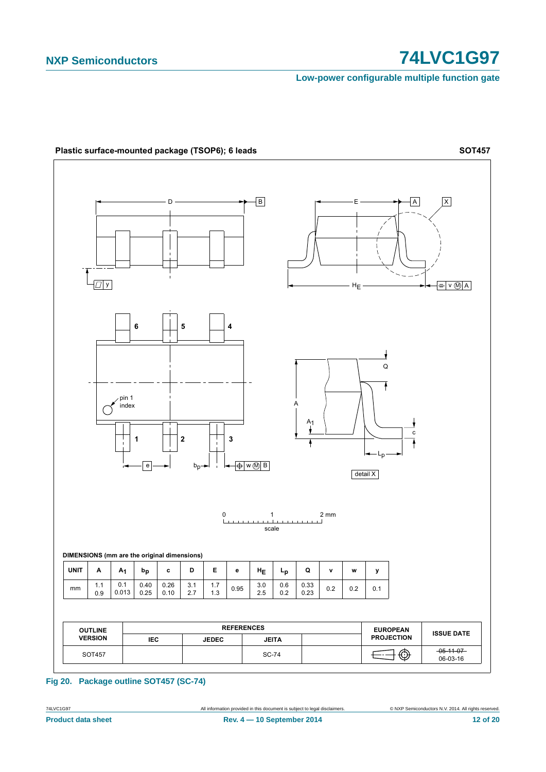Low-power configurable multiple function gate



#### Fig 20. Package outline SOT457 (SC-74)

74LVC1G97 **Product data sheet**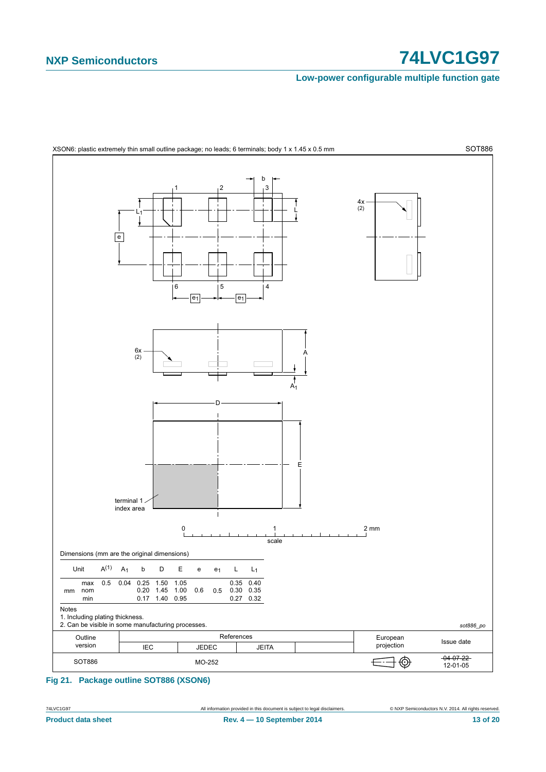#### Low-power configurable multiple function gate



#### <span id="page-12-0"></span>Fig 21. Package outline SOT886 (XSON6)

All information provided in this document is subject to legal disclaimers

74LVC1G97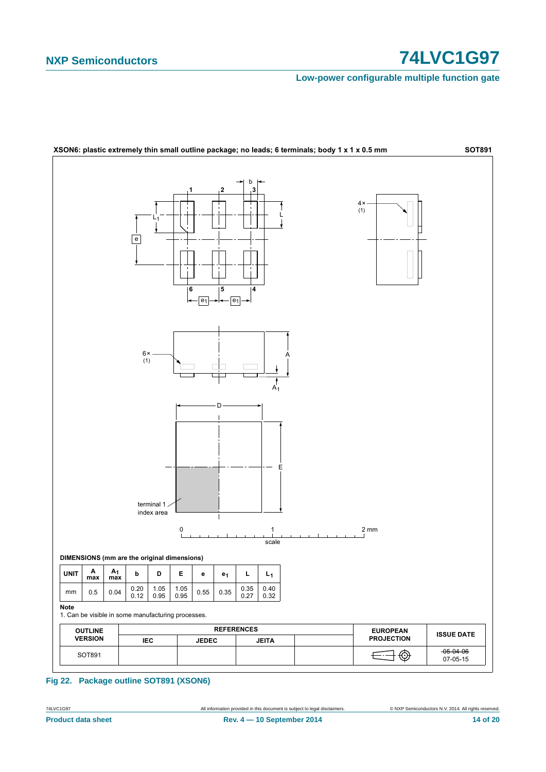#### Low-power configurable multiple function gate



Fig 22. Package outline SOT891 (XSON6)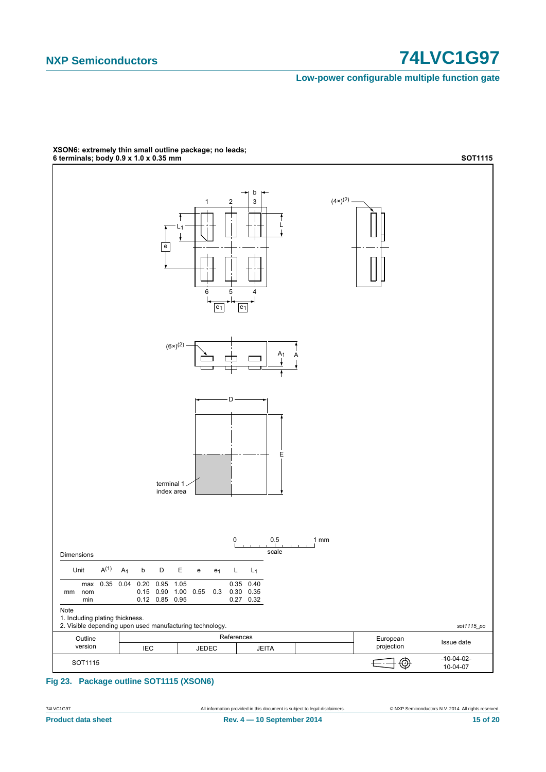#### Low-power configurable multiple function gate



# XSON6: extremely thin small outline package; no leads;<br>6 terminals; body 0.9 x 1.0 x 0.35 mm

Fig 23. Package outline SOT1115 (XSON6)

74LVC1G97 **Product data sheet**  C NXP Semiconductors N.V. 2014. All rights reserved.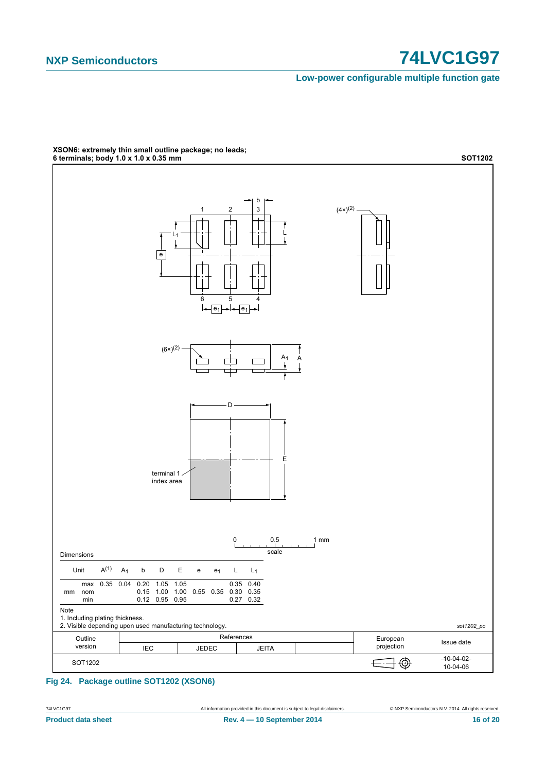Low-power configurable multiple function gate



XSON6: extremely thin small outline package; no leads;<br>6 terminals; body 1.0 x 1.0 x 0.35 mm

Fig 24. Package outline SOT1202 (XSON6)

74LVC1G97 **Product data sheet**  C NXP Semiconductors N.V. 2014. All rights reserved.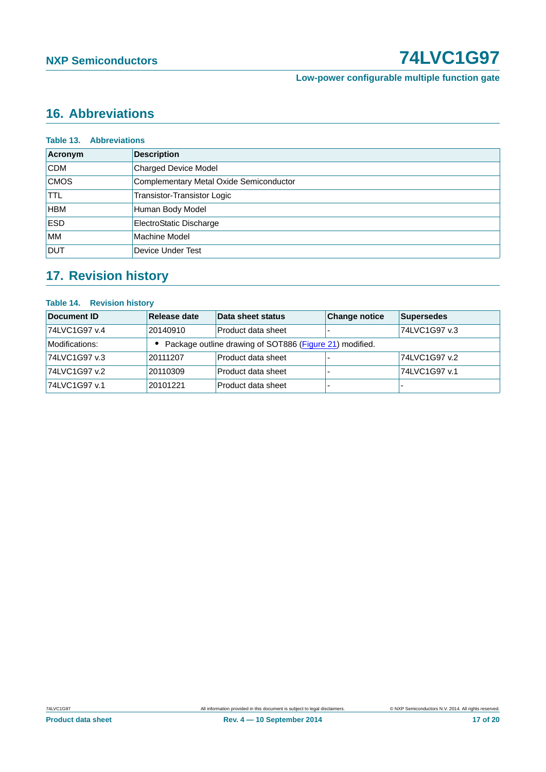**Low-power configurable multiple function gate**

# <span id="page-16-0"></span>**16. Abbreviations**

| <b>Table 13. Abbreviations</b> |                                         |  |  |
|--------------------------------|-----------------------------------------|--|--|
| Acronym                        | <b>Description</b>                      |  |  |
| <b>CDM</b>                     | <b>Charged Device Model</b>             |  |  |
| <b>CMOS</b>                    | Complementary Metal Oxide Semiconductor |  |  |
| <b>TTL</b>                     | Transistor-Transistor Logic             |  |  |
| <b>HBM</b>                     | Human Body Model                        |  |  |
| <b>ESD</b>                     | ElectroStatic Discharge                 |  |  |
| <b>MM</b>                      | Machine Model                           |  |  |
| <b>DUT</b>                     | Device Under Test                       |  |  |

# <span id="page-16-1"></span>**17. Revision history**

#### **Table 14. Revision history**

| Document ID    | Release date                                            | Data sheet status  | <b>Change notice</b> | <b>Supersedes</b> |
|----------------|---------------------------------------------------------|--------------------|----------------------|-------------------|
| 74LVC1G97 v.4  | 20140910                                                | Product data sheet |                      | 74LVC1G97 v.3     |
| Modifications: | Package outline drawing of SOT886 (Figure 21) modified. |                    |                      |                   |
| 74LVC1G97 v.3  | 20111207                                                | Product data sheet |                      | 74LVC1G97 v.2     |
| 74LVC1G97 v.2  | 20110309                                                | Product data sheet |                      | 74LVC1G97 v.1     |
| 74LVC1G97 v.1  | 20101221                                                | Product data sheet |                      |                   |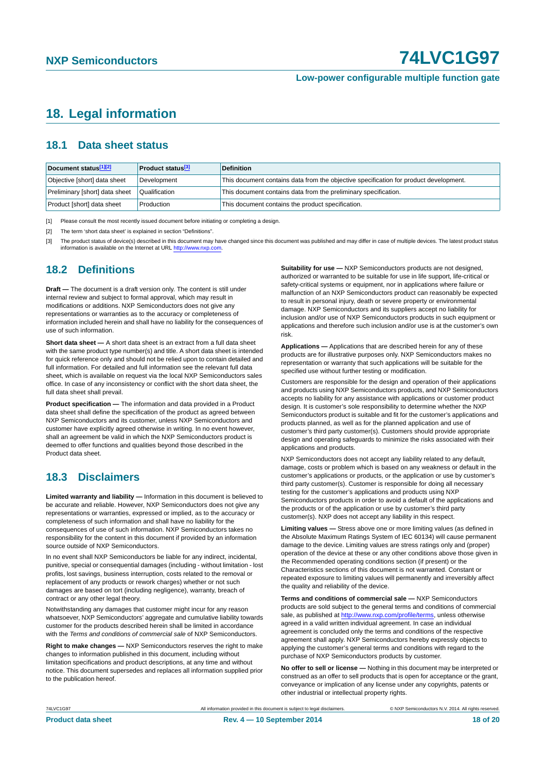#### **Low-power configurable multiple function gate**

### <span id="page-17-3"></span>**18. Legal information**

#### <span id="page-17-4"></span>**18.1 Data sheet status**

| Document status[1][2]          | <b>Product status</b> <sup>[3]</sup> | <b>Definition</b>                                                                     |
|--------------------------------|--------------------------------------|---------------------------------------------------------------------------------------|
| Objective [short] data sheet   | Development                          | This document contains data from the objective specification for product development. |
| Preliminary [short] data sheet | Qualification                        | This document contains data from the preliminary specification.                       |
| Product [short] data sheet     | Production                           | This document contains the product specification.                                     |

<span id="page-17-0"></span>[1] Please consult the most recently issued document before initiating or completing a design.

<span id="page-17-1"></span>[2] The term 'short data sheet' is explained in section "Definitions".

<span id="page-17-2"></span>[3] The product status of device(s) described in this document may have changed since this document was published and may differ in case of multiple devices. The latest product status<br>information is available on the Intern

#### <span id="page-17-5"></span>**18.2 Definitions**

**Draft —** The document is a draft version only. The content is still under internal review and subject to formal approval, which may result in modifications or additions. NXP Semiconductors does not give any representations or warranties as to the accuracy or completeness of information included herein and shall have no liability for the consequences of use of such information.

**Short data sheet —** A short data sheet is an extract from a full data sheet with the same product type number(s) and title. A short data sheet is intended for quick reference only and should not be relied upon to contain detailed and full information. For detailed and full information see the relevant full data sheet, which is available on request via the local NXP Semiconductors sales office. In case of any inconsistency or conflict with the short data sheet, the full data sheet shall prevail.

**Product specification —** The information and data provided in a Product data sheet shall define the specification of the product as agreed between NXP Semiconductors and its customer, unless NXP Semiconductors and customer have explicitly agreed otherwise in writing. In no event however, shall an agreement be valid in which the NXP Semiconductors product is deemed to offer functions and qualities beyond those described in the Product data sheet.

#### <span id="page-17-6"></span>**18.3 Disclaimers**

**Limited warranty and liability —** Information in this document is believed to be accurate and reliable. However, NXP Semiconductors does not give any representations or warranties, expressed or implied, as to the accuracy or completeness of such information and shall have no liability for the consequences of use of such information. NXP Semiconductors takes no responsibility for the content in this document if provided by an information source outside of NXP Semiconductors.

In no event shall NXP Semiconductors be liable for any indirect, incidental, punitive, special or consequential damages (including - without limitation - lost profits, lost savings, business interruption, costs related to the removal or replacement of any products or rework charges) whether or not such damages are based on tort (including negligence), warranty, breach of contract or any other legal theory.

Notwithstanding any damages that customer might incur for any reason whatsoever, NXP Semiconductors' aggregate and cumulative liability towards customer for the products described herein shall be limited in accordance with the *Terms and conditions of commercial sale* of NXP Semiconductors.

**Right to make changes —** NXP Semiconductors reserves the right to make changes to information published in this document, including without limitation specifications and product descriptions, at any time and without notice. This document supersedes and replaces all information supplied prior to the publication hereof.

**Suitability for use —** NXP Semiconductors products are not designed, authorized or warranted to be suitable for use in life support, life-critical or safety-critical systems or equipment, nor in applications where failure or malfunction of an NXP Semiconductors product can reasonably be expected to result in personal injury, death or severe property or environmental damage. NXP Semiconductors and its suppliers accept no liability for inclusion and/or use of NXP Semiconductors products in such equipment or applications and therefore such inclusion and/or use is at the customer's own risk.

**Applications —** Applications that are described herein for any of these products are for illustrative purposes only. NXP Semiconductors makes no representation or warranty that such applications will be suitable for the specified use without further testing or modification.

Customers are responsible for the design and operation of their applications and products using NXP Semiconductors products, and NXP Semiconductors accepts no liability for any assistance with applications or customer product design. It is customer's sole responsibility to determine whether the NXP Semiconductors product is suitable and fit for the customer's applications and products planned, as well as for the planned application and use of customer's third party customer(s). Customers should provide appropriate design and operating safeguards to minimize the risks associated with their applications and products.

NXP Semiconductors does not accept any liability related to any default. damage, costs or problem which is based on any weakness or default in the customer's applications or products, or the application or use by customer's third party customer(s). Customer is responsible for doing all necessary testing for the customer's applications and products using NXP Semiconductors products in order to avoid a default of the applications and the products or of the application or use by customer's third party customer(s). NXP does not accept any liability in this respect.

**Limiting values —** Stress above one or more limiting values (as defined in the Absolute Maximum Ratings System of IEC 60134) will cause permanent damage to the device. Limiting values are stress ratings only and (proper) operation of the device at these or any other conditions above those given in the Recommended operating conditions section (if present) or the Characteristics sections of this document is not warranted. Constant or repeated exposure to limiting values will permanently and irreversibly affect the quality and reliability of the device.

**Terms and conditions of commercial sale —** NXP Semiconductors products are sold subject to the general terms and conditions of commercial sale, as published at<http://www.nxp.com/profile/terms>, unless otherwise agreed in a valid written individual agreement. In case an individual agreement is concluded only the terms and conditions of the respective agreement shall apply. NXP Semiconductors hereby expressly objects to applying the customer's general terms and conditions with regard to the purchase of NXP Semiconductors products by customer.

**No offer to sell or license —** Nothing in this document may be interpreted or construed as an offer to sell products that is open for acceptance or the grant, conveyance or implication of any license under any copyrights, patents or other industrial or intellectual property rights.

74LVC1G97 All information provided in this document is subject to legal disclaimers. © NXP Semiconductors N.V. 2014. All rights reserved.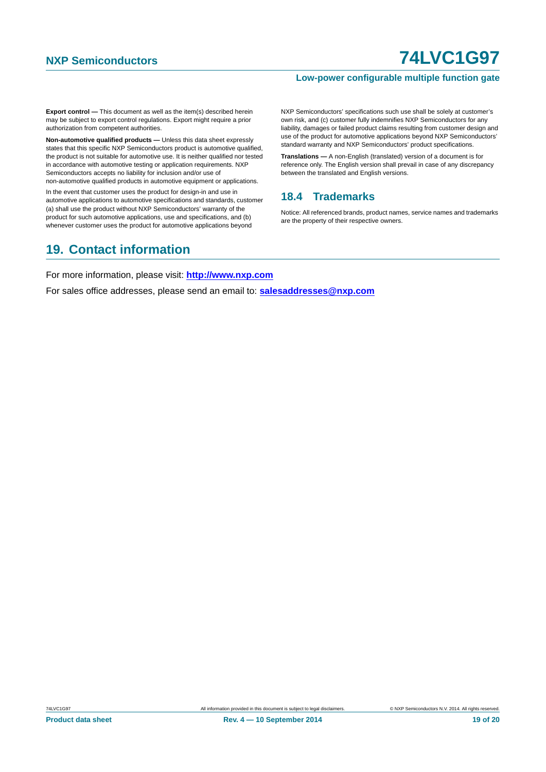#### **Low-power configurable multiple function gate**

**Export control —** This document as well as the item(s) described herein may be subject to export control regulations. Export might require a prior authorization from competent authorities.

**Non-automotive qualified products —** Unless this data sheet expressly states that this specific NXP Semiconductors product is automotive qualified, the product is not suitable for automotive use. It is neither qualified nor tested in accordance with automotive testing or application requirements. NXP Semiconductors accepts no liability for inclusion and/or use of non-automotive qualified products in automotive equipment or applications.

In the event that customer uses the product for design-in and use in automotive applications to automotive specifications and standards, customer (a) shall use the product without NXP Semiconductors' warranty of the product for such automotive applications, use and specifications, and (b) whenever customer uses the product for automotive applications beyond

NXP Semiconductors' specifications such use shall be solely at customer's own risk, and (c) customer fully indemnifies NXP Semiconductors for any liability, damages or failed product claims resulting from customer design and use of the product for automotive applications beyond NXP Semiconductors' standard warranty and NXP Semiconductors' product specifications.

**Translations —** A non-English (translated) version of a document is for reference only. The English version shall prevail in case of any discrepancy between the translated and English versions.

#### <span id="page-18-0"></span>**18.4 Trademarks**

Notice: All referenced brands, product names, service names and trademarks are the property of their respective owners.

### <span id="page-18-1"></span>**19. Contact information**

For more information, please visit: **http://www.nxp.com**

For sales office addresses, please send an email to: **salesaddresses@nxp.com**